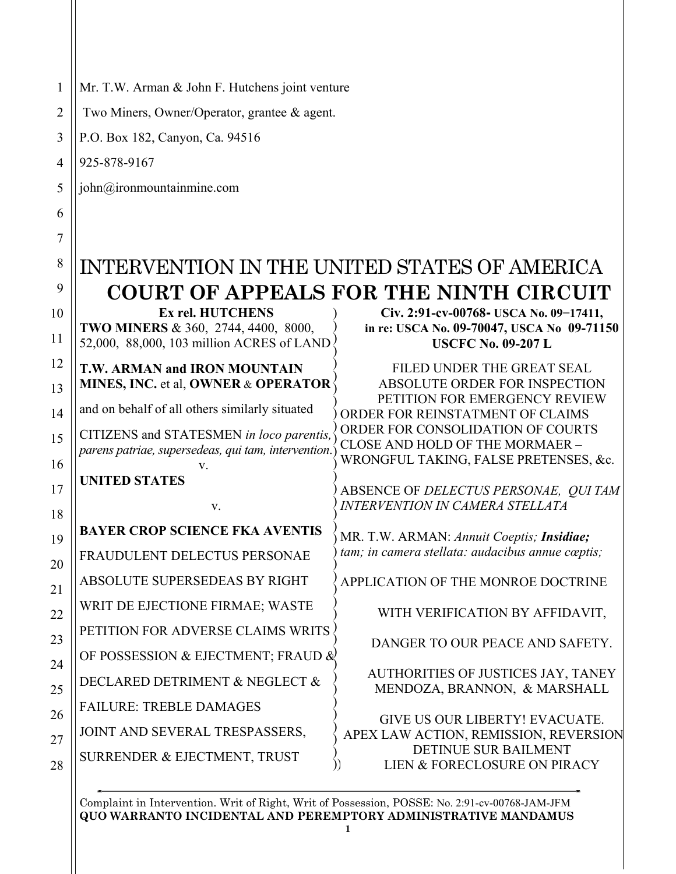1 2 3 4 5 6 7 8 9 10 11 12 13 14 15 16 17 18 19 20 21 22 23 24 25 26 27 28 Mr. T.W. Arman & John F. Hutchens joint venture Two Miners, Owner/Operator, grantee & agent. P.O. Box 182, Canyon, Ca. 94516 925-878-9167 john@ironmountainmine.com INTERVENTION IN THE UNITED STATES OF AMERICA **COURT OF APPEALS FOR THE NINTH CIRCUIT Ex rel. HUTCHENS TWO MINERS** & 360, 2744, 4400, 8000,  $52,000$ , 88,000, 103 million ACRES of LAND $\langle$ **T.W. ARMAN and IRON MOUNTAIN MINES, INC.** et al, **OWNER** & **OPERATOR** and on behalf of all others similarly situated CITIZENS and STATESMEN *in loco parentis, parens patriae, supersedeas, qui tam, intervention*. v. **UNITED STATES**  v. **BAYER CROP SCIENCE FKA AVENTIS** FRAUDULENT DELECTUS PERSONAE ABSOLUTE SUPERSEDEAS BY RIGHT WRIT DE EJECTIONE FIRMAE; WASTE PETITION FOR ADVERSE CLAIMS WRITS OF POSSESSION & EJECTMENT; FRAUD  $\&$ DECLARED DETRIMENT & NEGLECT & FAILURE: TREBLE DAMAGES JOINT AND SEVERAL TRESPASSERS, SURRENDER & EJECTMENT, TRUST ) ) ) ) ) ) ) ) ) )  $\lambda$ ) ) ) ) ) ) ) ) ) ) ) ) ) ) ) ) ) ) ) ) ) ) )  $\lambda$ **Civ. 2:91-cv-00768- USCA No. 09−17411, in re: USCA No. 09-70047, USCA No 09-71150 USCFC No. 09-207 L**  FILED UNDER THE GREAT SEAL ABSOLUTE ORDER FOR INSPECTION PETITION FOR EMERGENCY REVIEW ORDER FOR REINSTATMENT OF CLAIMS ORDER FOR CONSOLIDATION OF COURTS CLOSE AND HOLD OF THE MORMAER – WRONGFUL TAKING, FALSE PRETENSES, &c. ABSENCE OF *DELECTUS PERSONAE, QUI TAM INTERVENTION IN CAMERA STELLATA*  MR. T.W. ARMAN: *Annuit Coeptis; Insidiae; tam; in camera stellata: audacibus annue cœptis;*  APPLICATION OF THE MONROE DOCTRINE WITH VERIFICATION BY AFFIDAVIT, DANGER TO OUR PEACE AND SAFETY. AUTHORITIES OF JUSTICES JAY, TANEY MENDOZA, BRANNON, & MARSHALL GIVE US OUR LIBERTY! EVACUATE. APEX LAW ACTION, REMISSION, REVERSION DETINUE SUR BAILMENT LIEN & FORECLOSURE ON PIRACY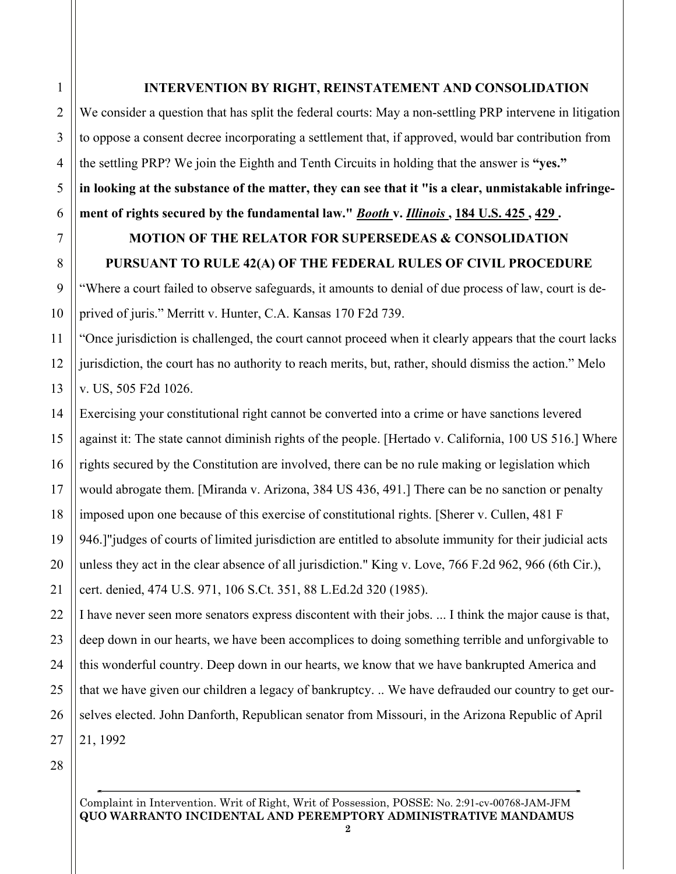#### **INTERVENTION BY RIGHT, REINSTATEMENT AND CONSOLIDATION**

We consider a question that has split the federal courts: May a non-settling PRP intervene in litigation to oppose a consent decree incorporating a settlement that, if approved, would bar contribution from the settling PRP? We join the Eighth and Tenth Circuits in holding that the answer is **"yes." [in looking at the substance of the matter, they can see that it "is a clear, unmistakable infringe](http://www.ironmountainmine.com/iron mountain/INTERVENTION BRIEF AND ORDER FOR EJECTMENT.pdf)[ment of rights secured by the fundamental law."](http://www.ironmountainmine.com/iron mountain/INTERVENTION BRIEF AND ORDER FOR EJECTMENT.pdf)** *Booth* **v.** *Illinois* **, [184 U.S. 425 ,](http://www.loislaw.com/livepublish8923/doclink.htp?alias=USCASE&cite=184+U.S.+425) [429 .](http://www.loislaw.com/livepublish8923/doclink.htp?alias=USCASE&cite=184+U.S.+425#PG429)** 

# **MOTION OF THE RELATOR FOR SUPERSEDEAS & CONSOLIDATION PURSUANT TO RULE 42(A) OF THE FEDERAL RULES OF CIVIL PROCEDURE**

"Where a court failed to observe safeguards, it amounts to denial of due process of law, court is deprived of juris." Merritt v. Hunter, C.A. Kansas 170 F2d 739.

"Once jurisdiction is challenged, the court cannot proceed when it clearly appears that the court lacks jurisdiction, the court has no authority to reach merits, but, rather, should dismiss the action." Melo v. US, 505 F2d 1026.

Exercising your constitutional right cannot be converted into a crime or have sanctions levered against it: The state cannot diminish rights of the people. [Hertado v. California, 100 US 516.] Where rights secured by the Constitution are involved, there can be no rule making or legislation which would abrogate them. [Miranda v. Arizona, 384 US 436, 491.] There can be no sanction or penalty imposed upon one because of this exercise of constitutional rights. [Sherer v. Cullen, 481 F 946.]"judges of courts of limited jurisdiction are entitled to absolute immunity for their judicial acts unless they act in the clear absence of all jurisdiction." King v. Love, 766 F.2d 962, 966 (6th Cir.), cert. denied, 474 U.S. 971, 106 S.Ct. 351, 88 L.Ed.2d 320 (1985).

I have never seen more senators express discontent with their jobs. ... I think the major cause is that, deep down in our hearts, we have been accomplices to doing something terrible and unforgivable to this wonderful country. Deep down in our hearts, we know that we have bankrupted America and that we have given our children a legacy of bankruptcy. .. We have defrauded our country to get ourselves elected. [John Danforth](http://en.wikipedia.org/wiki/John_Danforth), Republican senator from Missouri, in the Arizona Republic of April 21, 1992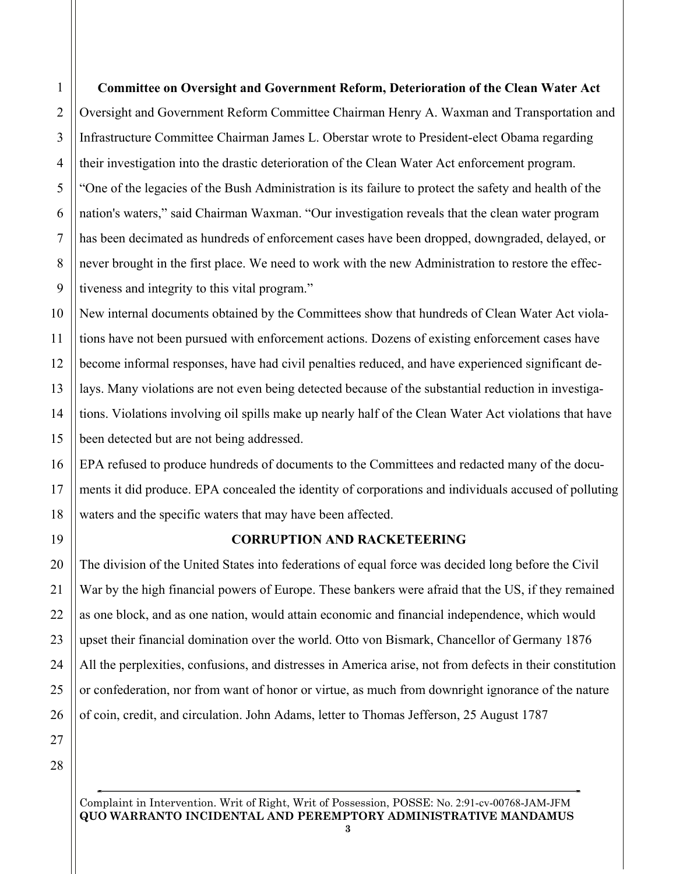**Committee on Oversight and Government Reform, Deterioration of the Clean Water Act**  Oversight and Government Reform Committee Chairman Henry A. Waxman and Transportation and Infrastructure Committee Chairman James L. Oberstar wrote to President-elect Obama regarding their investigation into the drastic deterioration of the Clean Water Act enforcement program. "One of the legacies of the Bush Administration is its failure to protect the safety and health of the nation's waters," said Chairman Waxman. "Our investigation reveals that the clean water program has been decimated as hundreds of enforcement cases have been dropped, downgraded, delayed, or never brought in the first place. We need to work with the new Administration to restore the effectiveness and integrity to this vital program."

New internal documents obtained by the Committees show that hundreds of Clean Water Act violations have not been pursued with enforcement actions. Dozens of existing enforcement cases have become informal responses, have had civil penalties reduced, and have experienced significant delays. Many violations are not even being detected because of the substantial reduction in investigations. Violations involving oil spills make up nearly half of the Clean Water Act violations that have been detected but are not being addressed.

EPA refused to produce hundreds of documents to the Committees and redacted many of the documents it did produce. EPA concealed the identity of corporations and individuals accused of polluting waters and the specific waters that may have been affected.

### **CORRUPTION AND RACKETEERING**

The division of the United States into federations of equal force was decided long before the Civil War by the high financial powers of Europe. These bankers were afraid that the US, if they remained as one block, and as one nation, would attain economic and financial independence, which would upset their financial domination over the world. [Otto von Bismark,](http://en.wikiquote.org/wiki/Otto_von_Bismark) Chancellor of Germany 1876 All the perplexities, confusions, and distresses in America arise, not from defects in their constitution or confederation, nor from want of honor or virtue, as much from downright ignorance of the nature of coin, credit, and circulation. [John Adams](http://en.wikiquote.org/wiki/John_Adams), letter to [Thomas Jefferson,](http://en.wikiquote.org/wiki/Thomas_Jefferson) 25 August 1787

Complaint in Intervention. Writ of Right, Writ of Possession, POSSE: No. 2:91-cv-00768-JAM-JFM **QUO WARRANTO INCIDENTAL AND PEREMPTORY ADMINISTRATIVE MANDAMUS 3**

1

2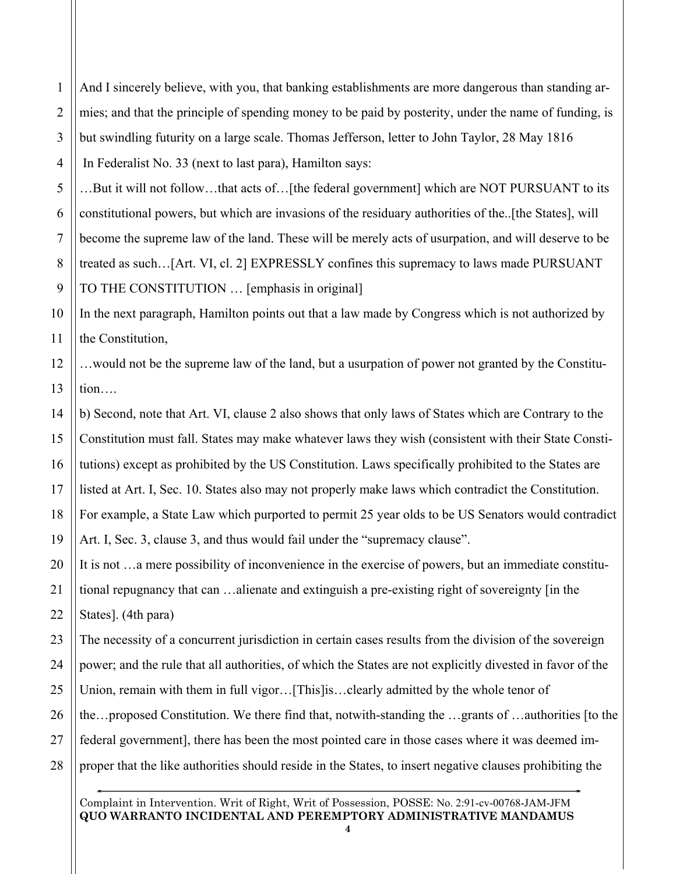And I sincerely believe, with you, that banking establishments are more dangerous than standing armies; and that the principle of spending money to be paid by posterity, under the name of funding, is but swindling futurity on a large scale. [Thomas Jefferson,](http://en.wikiquote.org/wiki/Thomas_Jefferson) letter to John Taylor, 28 May 1816 In [Federalist No. 33](http://www.foundingfathers.info/federalistpapers/fed33.htm) (next to last para), Hamilton says:

5 6 7 8 9 …But it will not follow…that acts of…[the federal government] which are NOT PURSUANT to its constitutional powers, but which are invasions of the residuary authorities of the..[the States], will become the supreme law of the land. These will be merely acts of usurpation, and will deserve to be treated as such…[Art. VI, cl. 2] EXPRESSLY confines this supremacy to laws made PURSUANT TO THE CONSTITUTION … [emphasis in original]

10 11 In the next paragraph, Hamilton points out that a law made by Congress which is not authorized by the Constitution,

12 13 …would not be the supreme law of the land, but a usurpation of power not granted by the Constitution….

14 15 16 17 18 b) Second, note that Art. VI, clause 2 also shows that only laws of States which are Contrary to the Constitution must fall. States may make whatever laws they wish (consistent with their State Constitutions) except as prohibited by the US Constitution. Laws specifically prohibited to the States are listed at Art. I, Sec. 10. States also may not properly make laws which contradict the Constitution. For example, a State Law which purported to permit 25 year olds to be US Senators would contradict

19 Art. I, Sec. 3, clause 3, and thus would fail under the "supremacy clause".

20 22 It is not …a mere possibility of inconvenience in the exercise of powers, but an immediate constitutional repugnancy that can …alienate and extinguish a pre-existing right of sovereignty [in the States]. (4th para)

The necessity of a concurrent jurisdiction in certain cases results from the division of the sovereign power; and the rule that all authorities, of which the States are not explicitly divested in favor of the Union, remain with them in full vigor…[This]is…clearly admitted by the whole tenor of the…proposed Constitution. We there find that, notwith-standing the …grants of …authorities [to the federal government], there has been the most pointed care in those cases where it was deemed improper that the like authorities should reside in the States, to insert negative clauses prohibiting the

21

1

2

3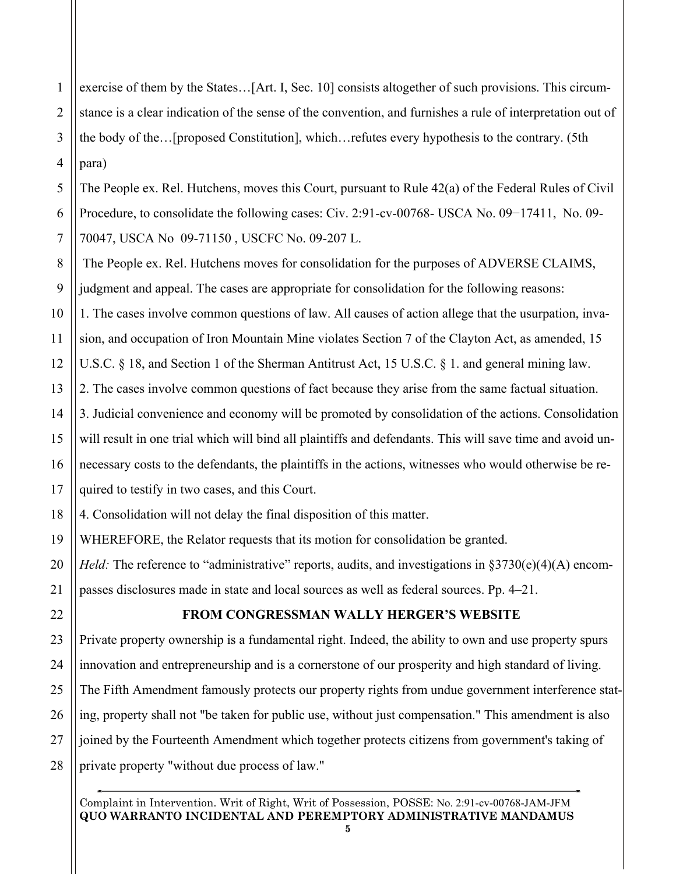exercise of them by the States…[Art. I, Sec. 10] consists altogether of such provisions. This circumstance is a clear indication of the sense of the convention, and furnishes a rule of interpretation out of the body of the…[proposed Constitution], which…refutes every hypothesis to the contrary. (5th para)

The People ex. Rel. Hutchens, moves this Court, pursuant to Rule 42(a) of the Federal Rules of Civil Procedure, to consolidate the following cases: Civ. 2:91-cv-00768- USCA No. 09−17411, No. 09- 70047, USCA No 09-71150 , USCFC No. 09-207 L.

The People ex. Rel. Hutchens moves for consolidation for the purposes of ADVERSE CLAIMS,

judgment and appeal. The cases are appropriate for consolidation for the following reasons:

1. The cases involve common questions of law. All causes of action allege that the usurpation, inva-

sion, and occupation of Iron Mountain Mine violates Section 7 of the Clayton Act, as amended, 15

U.S.C. § 18, and Section 1 of the Sherman Antitrust Act, 15 U.S.C. § 1. and general mining law.

2. The cases involve common questions of fact because they arise from the same factual situation.

3. Judicial convenience and economy will be promoted by consolidation of the actions. Consolidation will result in one trial which will bind all plaintiffs and defendants. This will save time and avoid unnecessary costs to the defendants, the plaintiffs in the actions, witnesses who would otherwise be required to testify in two cases, and this Court.

4. Consolidation will not delay the final disposition of this matter.

WHEREFORE, the Relator requests that its motion for consolidation be granted.

*Held:* The reference to "administrative" reports, audits, and investigations in §3730(e)(4)(A) encompasses disclosures made in state and local sources as well as federal sources. Pp. 4–21.

# **FROM CONGRESSMAN WALLY HERGER'S WEBSITE**

Private property ownership is a fundamental right. Indeed, the ability to own and use property spurs innovation and entrepreneurship and is a cornerstone of our prosperity and high standard of living. The Fifth Amendment famously protects our property rights from undue government interference stating, property shall not "be taken for public use, without just compensation." This amendment is also joined by the Fourteenth Amendment which together protects citizens from government's taking of private property "without due process of law."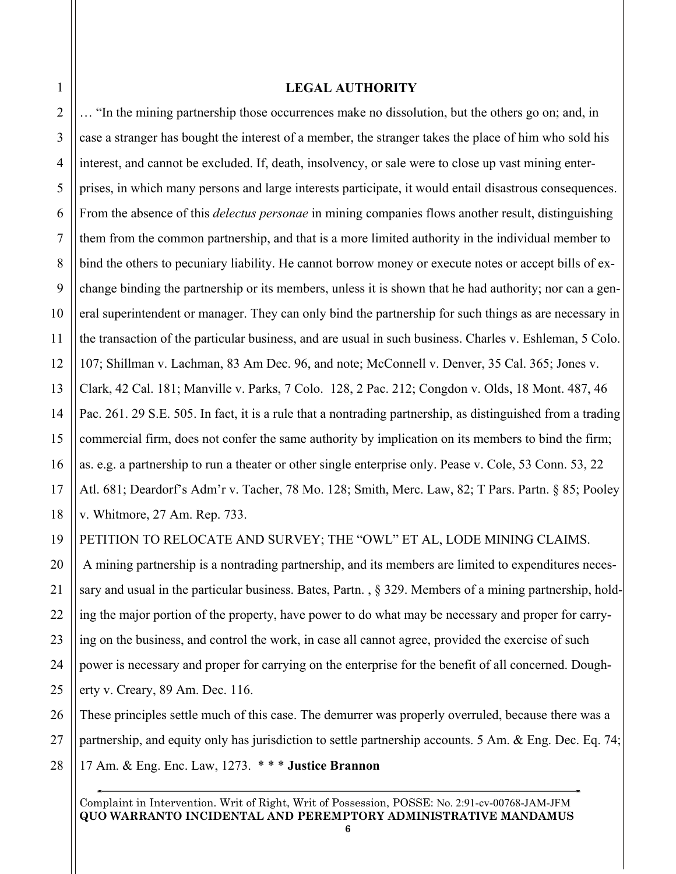12

13

14

15

16

17

18

20

21

22

23

24

25

#### **LEGAL AUTHORITY**

… "In the mining partnership those occurrences make no dissolution, but the others go on; and, in case a stranger has bought the interest of a member, the stranger takes the place of him who sold his interest, and cannot be excluded. If, death, insolvency, or sale were to close up vast mining enterprises, in which many persons and large interests participate, it would entail disastrous consequences. From the absence of this *delectus personae* in mining companies flows another result, distinguishing them from the common partnership, and that is a more limited authority in the individual member to bind the others to pecuniary liability. He cannot borrow money or execute notes or accept bills of exchange binding the partnership or its members, unless it is shown that he had authority; nor can a general superintendent or manager. They can only bind the partnership for such things as are necessary in the transaction of the particular business, and are usual in such business. Charles v. Eshleman, 5 Colo. 107; Shillman v. Lachman, 83 Am Dec. 96, and note; McConnell v. Denver, 35 Cal. 365; Jones v. Clark, 42 Cal. 181; Manville v. Parks, 7 Colo. 128, 2 Pac. 212; Congdon v. Olds, 18 Mont. 487, 46 Pac. 261. 29 S.E. 505. In fact, it is a rule that a nontrading partnership, as distinguished from a trading commercial firm, does not confer the same authority by implication on its members to bind the firm; as. e.g. a partnership to run a theater or other single enterprise only. Pease v. Cole, 53 Conn. 53, 22 Atl. 681; Deardorf's Adm'r v. Tacher, 78 Mo. 128; Smith, Merc. Law, 82; T Pars. Partn. § 85; Pooley v. Whitmore, 27 Am. Rep. 733.

19 PETITION TO RELOCATE AND SURVEY; THE "OWL" ET AL, LODE MINING CLAIMS.

 A mining partnership is a nontrading partnership, and its members are limited to expenditures necessary and usual in the particular business. Bates, Partn. , § 329. Members of a mining partnership, holding the major portion of the property, have power to do what may be necessary and proper for carrying on the business, and control the work, in case all cannot agree, provided the exercise of such power is necessary and proper for carrying on the enterprise for the benefit of all concerned. Dougherty v. Creary, 89 Am. Dec. 116.

26 27 28 These principles settle much of this case. The demurrer was properly overruled, because there was a partnership, and equity only has jurisdiction to settle partnership accounts. 5 Am. & Eng. Dec. Eq. 74; 17 Am. & Eng. Enc. Law, 1273. \* \* \* **Justice Brannon**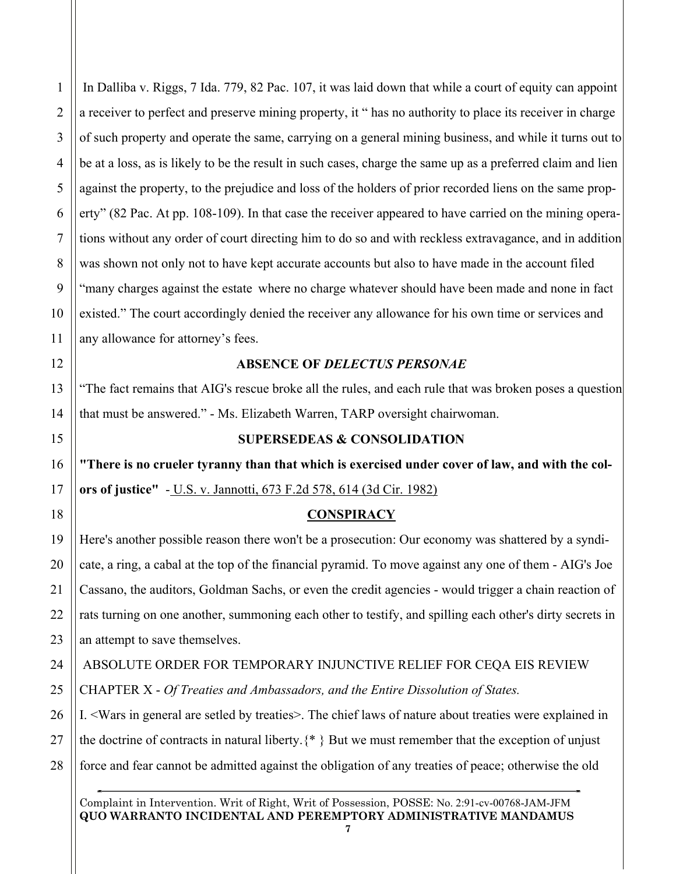In Dalliba v. Riggs, 7 Ida. 779, 82 Pac. 107, it was laid down that while a court of equity can appoint a receiver to perfect and preserve mining property, it " has no authority to place its receiver in charge of such property and operate the same, carrying on a general mining business, and while it turns out to be at a loss, as is likely to be the result in such cases, charge the same up as a preferred claim and lien against the property, to the prejudice and loss of the holders of prior recorded liens on the same property" (82 Pac. At pp. 108-109). In that case the receiver appeared to have carried on the mining operations without any order of court directing him to do so and with reckless extravagance, and in addition was shown not only not to have kept accurate accounts but also to have made in the account filed "many charges against the estate where no charge whatever should have been made and none in fact existed." The court accordingly denied the receiver any allowance for his own time or services and any allowance for attorney's fees.

#### **ABSENCE OF** *DELECTUS PERSONAE*

"The fact remains that AIG's rescue broke all the rules, and each rule that was broken poses a question that must be answered." - Ms. Elizabeth Warren, TARP oversight chairwoman.

#### **SUPERSEDEAS & CONSOLIDATION**

**"There is no crueler tyranny than that which is exercised under cover of law, and with the colors of justice"** - U.S. v. Jannotti, 673 F.2d 578, 614 (3d Cir. 1982)

### **CONSPIRACY**

[Here's another possible reason there won't be a prosecution: Our economy was shattered by a syndi](http://www.ourfuture.org/blog-entry/2010062201/law-and-order-aig)[cate, a ring, a cabal at the top of the financial pyramid. To move against any one of them - AIG's Joe](http://www.ourfuture.org/blog-entry/2010062201/law-and-order-aig)  [Cassano, the auditors, Goldman Sachs, or even the credit agencies - would trigger a chain reaction of](http://www.ourfuture.org/blog-entry/2010062201/law-and-order-aig)  [rats turning on one another, summoning each other to testify, and spilling each other's dirty secrets in](http://www.ourfuture.org/blog-entry/2010062201/law-and-order-aig)  [an attempt to save themselves.](http://www.ourfuture.org/blog-entry/2010062201/law-and-order-aig)

ABSOLUTE ORDER FOR TEMPORARY INJUNCTIVE RELIEF FOR CEQA EIS REVIEW

CHAPTER X - *[Of Treaties and Ambassadors, and the Entire Dissolution of States.](http://frwebgate.access.gpo.gov/cgi-bin/getdoc.cgi?dbname=111_cong_bills&docid=f:s372rs.txt.pdf)* 

I. <Wars in general are setled by treaties>. The chief laws of nature about treaties were explained in the doctrine of contracts in natural liberty.[{\\*](http://oll.libertyfund.org/?option=com_staticxt&staticfile=show.php%3Ftitle=2059&chapter=155413&layout=html&Itemid=27#lfHutcheson_footnote_nt657) } But we must remember that the exception of unjust force and fear cannot be admitted against the obligation of any treaties of peace; otherwise the old

Complaint in Intervention. Writ of Right, Writ of Possession, POSSE: No. 2:91-cv-00768-JAM-JFM **QUO WARRANTO INCIDENTAL AND PEREMPTORY ADMINISTRATIVE MANDAMUS 7**

1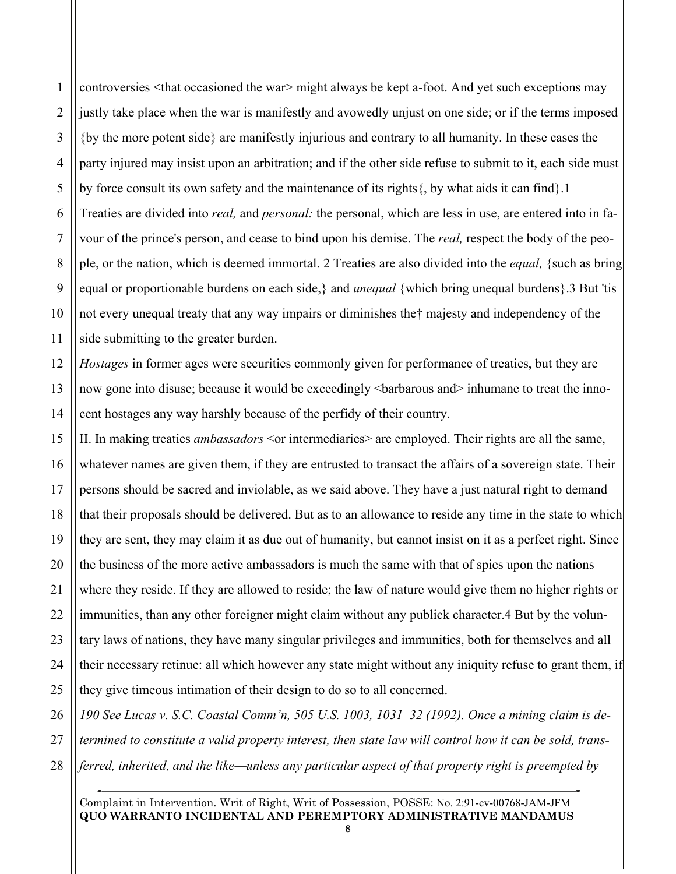controversies <that occasioned the war> might always be kept a-foot. And yet such exceptions may justly take place when the war is manifestly and avowedly unjust on one side; or if the terms imposed {by the more potent side} are manifestly injurious and contrary to all humanity. In these cases the party injured may insist upon an arbitration; and if the other side refuse to submit to it, each side must by force consult its own safety and the maintenance of its rights{, by what aids it can find}[.1](http://oll.libertyfund.org/?option=com_staticxt&staticfile=show.php%3Ftitle=2059&chapter=155413&layout=html&Itemid=27#lfHutcheson_footnote_nt658)  Treaties are divided into *real,* and *personal:* the personal, which are less in use, are entered into in favour of the prince's person, and cease to bind upon his demise. The *real,* respect the body of the people, or the nation, which is deemed immortal. [2 T](http://oll.libertyfund.org/?option=com_staticxt&staticfile=show.php%3Ftitle=2059&chapter=155413&layout=html&Itemid=27#lfHutcheson_footnote_nt659)reaties are also divided into the *equal,* {such as bring equal or proportionable burdens on each side,} and *unequal* {which bring unequal burdens}.[3 B](http://oll.libertyfund.org/?option=com_staticxt&staticfile=show.php%3Ftitle=2059&chapter=155413&layout=html&Itemid=27#lfHutcheson_footnote_nt660)ut 'tis not every unequal treaty that any way impairs or diminishes th[e†](http://oll.libertyfund.org/?option=com_staticxt&staticfile=show.php%3Ftitle=2059&chapter=155413&layout=html&Itemid=27#lfHutcheson_footnote_nt661) majesty and independency of the side submitting to the greater burden.

*Hostages* in former ages were securities commonly given for performance of treaties, but they are now gone into disuse; because it would be exceedingly  $\triangle$  barbarous and inhumane to treat the innocent hostages any way harshly because of the perfidy of their country.

II. In making treaties *ambassadors* < or intermediaries are employed. Their rights are all the same, whatever names are given them, if they are entrusted to transact the affairs of a sovereign state. Their persons should be sacred and inviolable, as we said above. They have a just natural right to demand that their proposals should be delivered. But as to an allowance to reside any time in the state to which they are sent, they may claim it as due out of humanity, but cannot insist on it as a perfect right. Since the business of the more active ambassadors is much the same with that of spies upon the nations where they reside. If they are allowed to reside; the law of nature would give them no higher rights or immunities, than any other foreigner might claim without any publick character[.4](http://oll.libertyfund.org/?option=com_staticxt&staticfile=show.php%3Ftitle=2059&chapter=155413&layout=html&Itemid=27#lfHutcheson_footnote_nt662) But by the voluntary laws of nations, they have many singular privileges and immunities, both for themselves and all their necessary retinue: all which however any state might without any iniquity refuse to grant them, if they give timeous intimation of their design to do so to all concerned.

*[190](http://www.bc.edu/schools/law/lawreviews/meta-elements/journals/bcealr/30_1/01_TXT.htm#T190) See Lucas v. S.C. Coastal Comm'n, 505 U.S. 1003, 1031–32 (1992). Once a mining claim is determined to constitute a valid property interest, then state law will control how it can be sold, transferred, inherited, and the like—unless any particular aspect of that property right is preempted by* 

Complaint in Intervention. Writ of Right, Writ of Possession, POSSE: No. 2:91-cv-00768-JAM-JFM **QUO WARRANTO INCIDENTAL AND PEREMPTORY ADMINISTRATIVE MANDAMUS 8**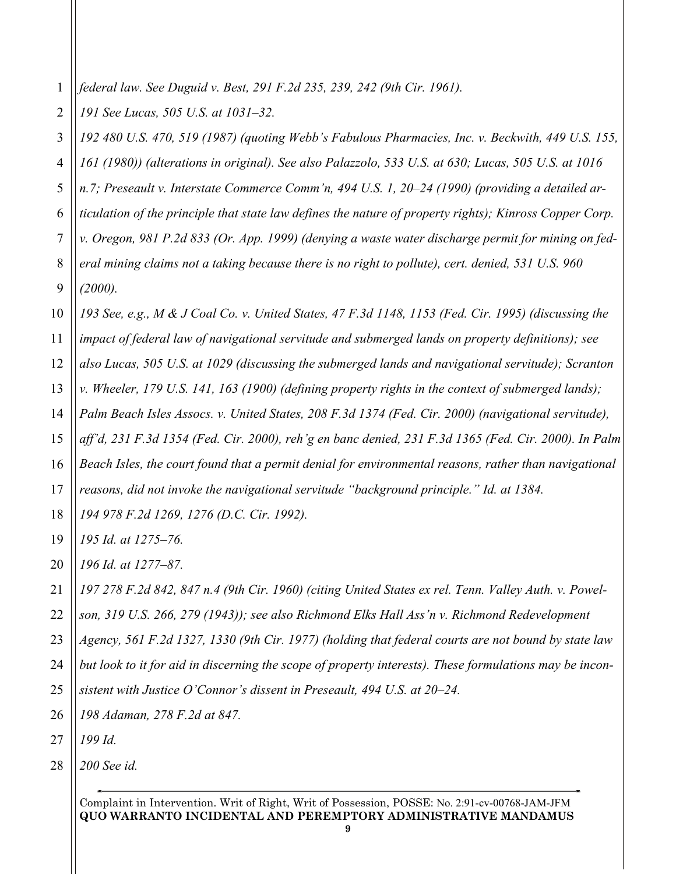*See Lucas, 505 U.S. at 1031–32.*

  *480 U.S. 470, 519 (1987) (quoting Webb's Fabulous Pharmacies, Inc. v. Beckwith, 449 U.S. 155, 161 (1980)) (alterations in original). See also Palazzolo, 533 U.S. at 630; Lucas, 505 U.S. at 1016 n.7; Preseault v. Interstate Commerce Comm'n, 494 U.S. 1, 20–24 (1990) (providing a detailed articulation of the principle that state law defines the nature of property rights); Kinross Copper Corp. v. Oregon, 981 P.2d 833 (Or. App. 1999) (denying a waste water discharge permit for mining on federal mining claims not a taking because there is no right to pollute), cert. denied, 531 U.S. 960 (2000).*

  *See, e.g., M & J Coal Co. v. United States, 47 F.3d 1148, 1153 (Fed. Cir. 1995) (discussing the impact of federal law of navigational servitude and submerged lands on property definitions); see also Lucas, 505 U.S. at 1029 (discussing the submerged lands and navigational servitude); Scranton v. Wheeler, 179 U.S. 141, 163 (1900) (defining property rights in the context of submerged lands); Palm Beach Isles Assocs. v. United States, 208 F.3d 1374 (Fed. Cir. 2000) (navigational servitude), aff'd, 231 F.3d 1354 (Fed. Cir. 2000), reh'g en banc denied, 231 F.3d 1365 (Fed. Cir. 2000). In Palm Beach Isles, the court found that a permit denial for environmental reasons, rather than navigational reasons, did not invoke the navigational servitude "background principle." Id. at 1384.*

 *978 F.2d 1269, 1276 (D.C. Cir. 1992).*

  *Id. at 1275–76.*

  *Id. at 1277–87.*

  *278 F.2d 842, 847 n.4 (9th Cir. 1960) (citing United States ex rel. Tenn. Valley Auth. v. Powelson, 319 U.S. 266, 279 (1943)); see also Richmond Elks Hall Ass'n v. Richmond Redevelopment Agency, 561 F.2d 1327, 1330 (9th Cir. 1977) (holding that federal courts are not bound by state law but look to it for aid in discerning the scope of property interests). These formulations may be inconsistent with Justice O'Connor's dissent in Preseault, 494 U.S. at 20–24.*

  *Adaman, 278 F.2d at 847.*

  *Id.*

  *See id.*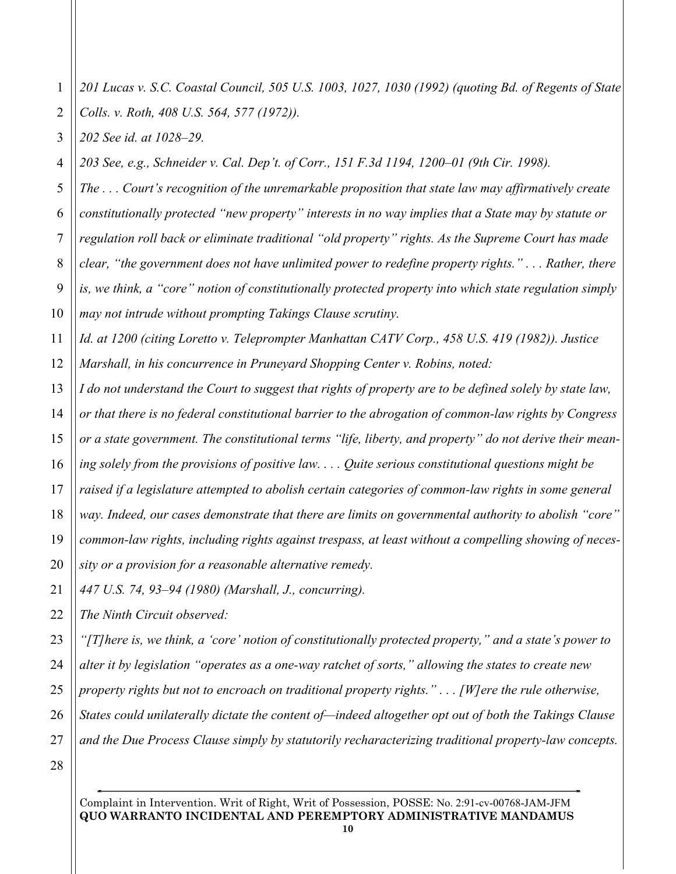1 2 *[201](http://www.bc.edu/schools/law/lawreviews/meta-elements/journals/bcealr/30_1/01_TXT.htm#T201) Lucas v. S.C. Coastal Council, 505 U.S. 1003, 1027, 1030 (1992) (quoting Bd. of Regents of State Colls. v. Roth, 408 U.S. 564, 577 (1972)).*

3 *[202](http://www.bc.edu/schools/law/lawreviews/meta-elements/journals/bcealr/30_1/01_TXT.htm#T202) See id. at 1028–29.*

4 *[203](http://www.bc.edu/schools/law/lawreviews/meta-elements/journals/bcealr/30_1/01_TXT.htm#T203) See, e.g., Schneider v. Cal. Dep't. of Corr., 151 F.3d 1194, 1200–01 (9th Cir. 1998).*

5 6 7 8 9 10 *The . . . Court's recognition of the unremarkable proposition that state law may affirmatively create constitutionally protected "new property" interests in no way implies that a State may by statute or regulation roll back or eliminate traditional "old property" rights. As the Supreme Court has made clear, "the government does not have unlimited power to redefine property rights." . . . Rather, there is, we think, a "core" notion of constitutionally protected property into which state regulation simply may not intrude without prompting Takings Clause scrutiny.*

11 12 *Id. at 1200 (citing Loretto v. Teleprompter Manhattan CATV Corp., 458 U.S. 419 (1982)). Justice Marshall, in his concurrence in Pruneyard Shopping Center v. Robins, noted:*

13 14 15 16 17 18 19 20 *I do not understand the Court to suggest that rights of property are to be defined solely by state law, or that there is no federal constitutional barrier to the abrogation of common-law rights by Congress or a state government. The constitutional terms "life, liberty, and property" do not derive their meaning solely from the provisions of positive law. . . . Quite serious constitutional questions might be raised if a legislature attempted to abolish certain categories of common-law rights in some general way. Indeed, our cases demonstrate that there are limits on governmental authority to abolish "core" common-law rights, including rights against trespass, at least without a compelling showing of necessity or a provision for a reasonable alternative remedy.*

*447 U.S. 74, 93–94 (1980) (Marshall, J., concurring).*

22 *The Ninth Circuit observed:*

23 24 25 26 27 *"[T]here is, we think, a 'core' notion of constitutionally protected property," and a state's power to alter it by legislation "operates as a one-way ratchet of sorts," allowing the states to create new property rights but not to encroach on traditional property rights." . . . [W]ere the rule otherwise, States could unilaterally dictate the content of—indeed altogether opt out of both the Takings Clause and the Due Process Clause simply by statutorily recharacterizing traditional property-law concepts.*

28

21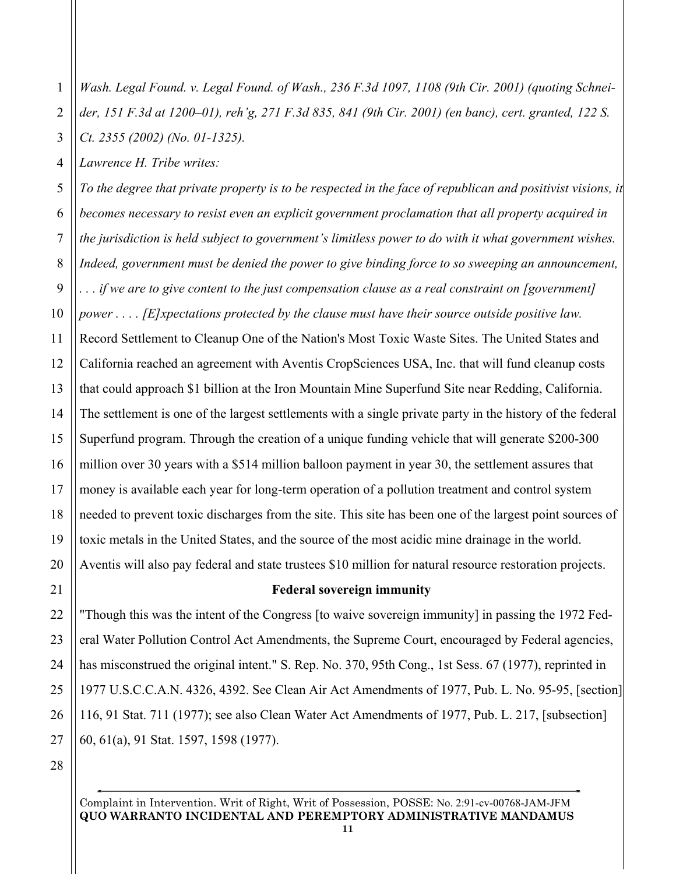1 2 3 *Wash. Legal Found. v. Legal Found. of Wash., 236 F.3d 1097, 1108 (9th Cir. 2001) (quoting Schneider, 151 F.3d at 1200–01), reh'g, 271 F.3d 835, 841 (9th Cir. 2001) (en banc), cert. granted, 122 S. Ct. 2355 (2002) (No. 01-1325).*

4 *Lawrence H. Tribe writes:*

5 6 7 8 9 10 11 12 13 14 15 16 17 18 19 20 *To the degree that private property is to be respected in the face of republican and positivist visions, it becomes necessary to resist even an explicit government proclamation that all property acquired in the jurisdiction is held subject to government's limitless power to do with it what government wishes. Indeed, government must be denied the power to give binding force to so sweeping an announcement, . . . if we are to give content to the just compensation clause as a real constraint on [government] power . . . . [E]xpectations protected by the clause must have their source outside positive law.* Record Settlement to Cleanup One of the Nation's Most Toxic Waste Sites. The United States and California reached an agreement with Aventis CropSciences USA, Inc. that will fund cleanup costs that could approach \$1 billion at the Iron Mountain Mine Superfund Site near Redding, California. The settlement is one of the largest settlements with a single private party in the history of the federal Superfund program. Through the creation of a unique funding vehicle that will generate \$200-300 million over 30 years with a \$514 million balloon payment in year 30, the settlement assures that money is available each year for long-term operation of a pollution treatment and control system needed to prevent toxic discharges from the site. This site has been one of the largest point sources of toxic metals in the United States, and the source of the most acidic mine drainage in the world. Aventis will also pay federal and state trustees \$10 million for natural resource restoration projects.

#### **[Federal sovereign immunity](http://goliath.ecnext.com/coms2/gi_0199-6017143/Federal-sovereign-immunity-versus-state.html)**

["Though this was the intent of the Congress \[to waive sovereign immunity\] in passing the 1972 Fed](http://goliath.ecnext.com/coms2/gi_0199-6017143/Federal-sovereign-immunity-versus-state.html)[eral Water Pollution Control Act Amendments, the Supreme Court, encouraged by Federal agencies,](http://goliath.ecnext.com/coms2/gi_0199-6017143/Federal-sovereign-immunity-versus-state.html)  [has misconstrued the original intent." S. Rep. No. 370, 95th Cong., 1st Sess. 67 \(1977\), reprinted in](http://goliath.ecnext.com/coms2/gi_0199-6017143/Federal-sovereign-immunity-versus-state.html)  [1977 U.S.C.C.A.N. 4326, 4392. See Clean Air Act Amendments of 1977, Pub. L. No. 95-95, \[section\]](http://goliath.ecnext.com/coms2/gi_0199-6017143/Federal-sovereign-immunity-versus-state.html)  [116, 91 Stat. 711 \(1977\); see also Clean Water Act Amendments of 1977, Pub. L. 217, \[subsection\]](http://goliath.ecnext.com/coms2/gi_0199-6017143/Federal-sovereign-immunity-versus-state.html)  [60, 61\(a\), 91 Stat. 1597, 1598 \(1977\).](http://goliath.ecnext.com/coms2/gi_0199-6017143/Federal-sovereign-immunity-versus-state.html) 

28

21

22

23

24

25

26

27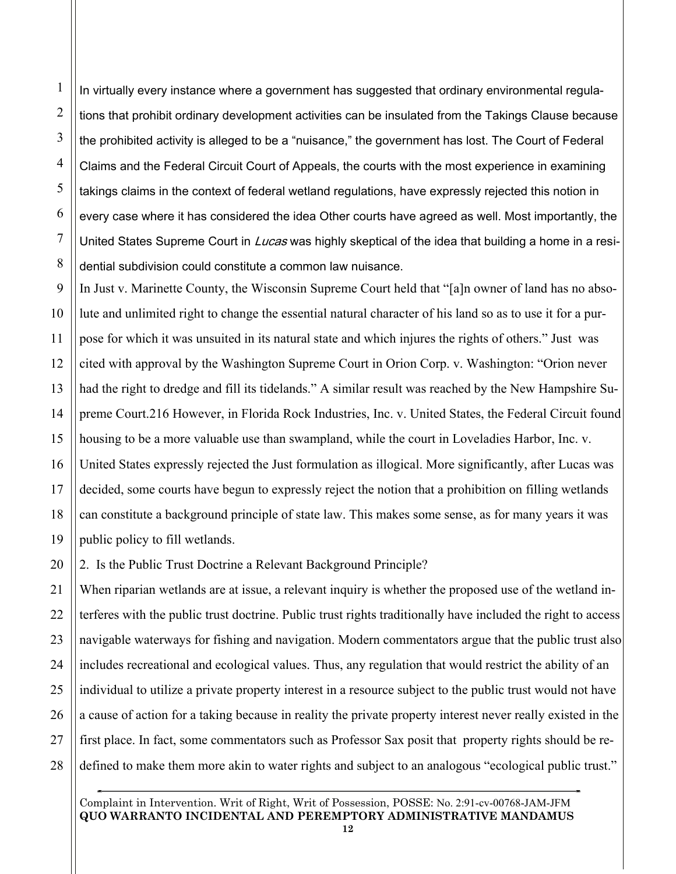In virtually every instance where a government has suggested that ordinary environmental regulations that prohibit ordinary development activities can be insulated from the Takings Clause because the prohibited activity is alleged to be a "nuisance," the government has lost. The Court of Federal Claims and the Federal Circuit Court of Appeals, the courts with the most experience in examining takings claims in the context of federal wetland regulations, have expressly rejected this notion in every case where it has considered the idea Other courts have agreed as well. Most importantly, the United States Supreme Court in Lucas was highly skeptical of the idea that building a home in a residential subdivision could constitute a common law nuisance.

In Just v. Marinette County, the Wisconsin Supreme Court held that "[a]n owner of land has no absolute and unlimited right to change the essential natural character of his land so as to use it for a purpose for which it was unsuited in its natural state and which injures the rights of others." Just was cited with approval by the Washington Supreme Court in Orion Corp. v. Washington: "Orion never had the right to dredge and fill its tidelands." A similar result was reached by the New Hampshire Supreme Court[.216](http://www.bc.edu/schools/law/lawreviews/meta-elements/journals/bcealr/30_1/01_FTN.htm#F216) However, in Florida Rock Industries, Inc. v. United States, the Federal Circuit found housing to be a more valuable use than swampland, while the court in Loveladies Harbor, Inc. v. United States expressly rejected the Just formulation as illogical. More significantly, after Lucas was decided, some courts have begun to expressly reject the notion that a prohibition on filling wetlands can constitute a background principle of state law. This makes some sense, as for many years it was public policy to fill wetlands.

2. Is the Public Trust Doctrine a Relevant Background Principle?

When riparian wetlands are at issue, a relevant inquiry is whether the proposed use of the wetland interferes with the public trust doctrine. Public trust rights traditionally have included the right to access navigable waterways for fishing and navigation. Modern commentators argue that the public trust also includes recreational and ecological values. Thus, any regulation that would restrict the ability of an individual to utilize a private property interest in a resource subject to the public trust would not have a cause of action for a taking because in reality the private property interest never really existed in the first place. In fact, some commentators such as Professor Sax posit that property rights should be redefined to make them more akin to water rights and subject to an analogous "ecological public trust."

Complaint in Intervention. Writ of Right, Writ of Possession, POSSE: No. 2:91-cv-00768-JAM-JFM **QUO WARRANTO INCIDENTAL AND PEREMPTORY ADMINISTRATIVE MANDAMUS 12**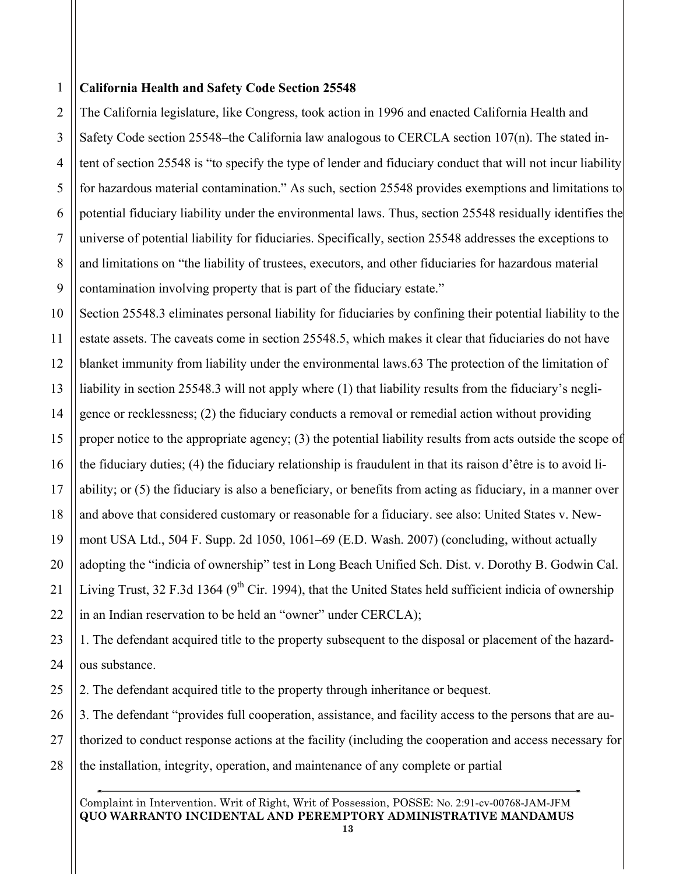#### 1 **California Health and Safety Code Section 25548**

The California legislature, like Congress, took action in 1996 and enacted California Health and Safety Code section 25548–the California law analogous to CERCLA section 107(n). The stated intent of section 25548 is "to specify the type of lender and fiduciary conduct that will not incur liability for hazardous material contamination." As such, section 25548 provides exemptions and limitations to potential fiduciary liability under the environmental laws. Thus, section 25548 residually identifies the universe of potential liability for fiduciaries. Specifically, section 25548 addresses the exceptions to and limitations on "the liability of trustees, executors, and other fiduciaries for hazardous material contamination involving property that is part of the fiduciary estate."

Section 25548.3 eliminates personal liability for fiduciaries by confining their potential liability to the estate assets. The caveats come in section 25548.5, which makes it clear that fiduciaries do not have blanket immunity from liability under the environmental laws.63 The protection of the limitation of liability in section 25548.3 will not apply where (1) that liability results from the fiduciary's negligence or recklessness; (2) the fiduciary conducts a removal or remedial action without providing proper notice to the appropriate agency; (3) the potential liability results from acts outside the scope of the fiduciary duties; (4) the fiduciary relationship is fraudulent in that its raison d'être is to avoid liability; or (5) the fiduciary is also a beneficiary, or benefits from acting as fiduciary, in a manner over and above that considered customary or reasonable for a fiduciary. see also: United States v. Newmont USA Ltd., 504 F. Supp. 2d 1050, 1061–69 (E.D. Wash. 2007) (concluding, without actually adopting the "indicia of ownership" test in Long Beach Unified Sch. Dist. v. Dorothy B. Godwin Cal. Living Trust, 32 F.3d 1364 ( $9<sup>th</sup>$  Cir. 1994), that the United States held sufficient indicia of ownership in an Indian reservation to be held an "owner" under CERCLA);

1. The defendant acquired title to the property subsequent to the disposal or placement of the hazardous substance.

2. The defendant acquired title to the property through inheritance or bequest.

3. The defendant "provides full cooperation, assistance, and facility access to the persons that are authorized to conduct response actions at the facility (including the cooperation and access necessary for the installation, integrity, operation, and maintenance of any complete or partial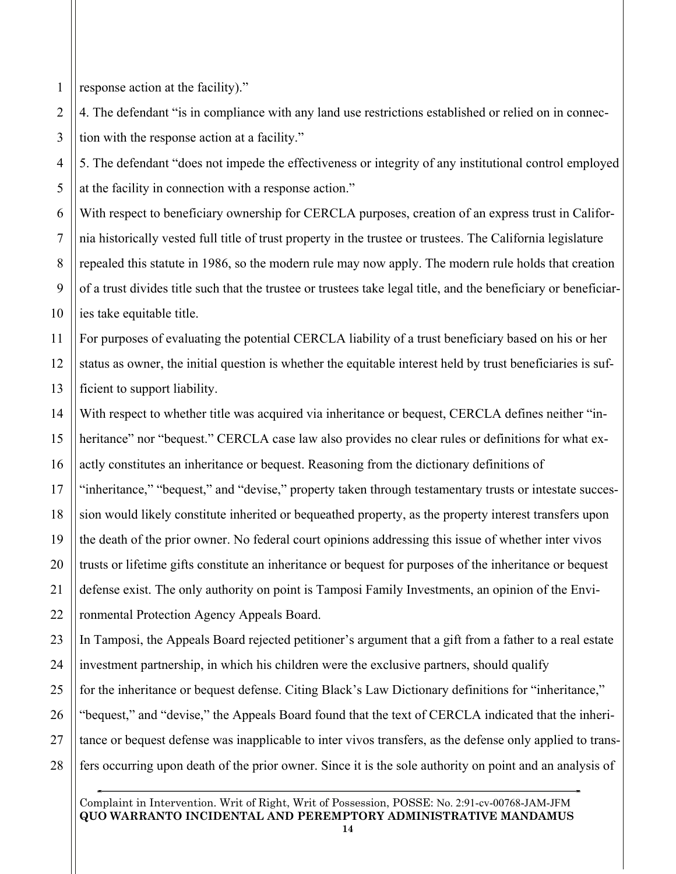response action at the facility)."

4. The defendant "is in compliance with any land use restrictions established or relied on in connection with the response action at a facility."

5. The defendant "does not impede the effectiveness or integrity of any institutional control employed at the facility in connection with a response action."

With respect to beneficiary ownership for CERCLA purposes, creation of an express trust in California historically vested full title of trust property in the trustee or trustees. The California legislature repealed this statute in 1986, so the modern rule may now apply. The modern rule holds that creation of a trust divides title such that the trustee or trustees take legal title, and the beneficiary or beneficiaries take equitable title.

For purposes of evaluating the potential CERCLA liability of a trust beneficiary based on his or her status as owner, the initial question is whether the equitable interest held by trust beneficiaries is sufficient to support liability.

With respect to whether title was acquired via inheritance or bequest, CERCLA defines neither "inheritance" nor "bequest." CERCLA case law also provides no clear rules or definitions for what exactly constitutes an inheritance or bequest. Reasoning from the dictionary definitions of "inheritance," "bequest," and "devise," property taken through testamentary trusts or intestate succession would likely constitute inherited or bequeathed property, as the property interest transfers upon the death of the prior owner. No federal court opinions addressing this issue of whether inter vivos trusts or lifetime gifts constitute an inheritance or bequest for purposes of the inheritance or bequest defense exist. The only authority on point is Tamposi Family Investments, an opinion of the Environmental Protection Agency Appeals Board.

In Tamposi, the Appeals Board rejected petitioner's argument that a gift from a father to a real estate investment partnership, in which his children were the exclusive partners, should qualify for the inheritance or bequest defense. Citing Black's Law Dictionary definitions for "inheritance," "bequest," and "devise," the Appeals Board found that the text of CERCLA indicated that the inheritance or bequest defense was inapplicable to inter vivos transfers, as the defense only applied to transfers occurring upon death of the prior owner. Since it is the sole authority on point and an analysis of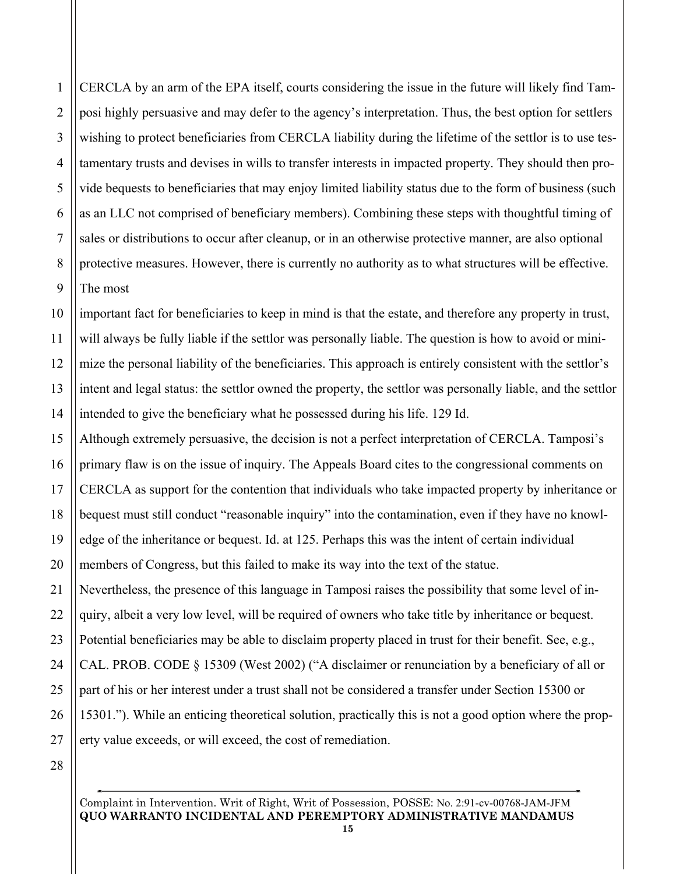2 3 4 5 6 7 8 9 CERCLA by an arm of the EPA itself, courts considering the issue in the future will likely find Tamposi highly persuasive and may defer to the agency's interpretation. Thus, the best option for settlers wishing to protect beneficiaries from CERCLA liability during the lifetime of the settlor is to use testamentary trusts and devises in wills to transfer interests in impacted property. They should then provide bequests to beneficiaries that may enjoy limited liability status due to the form of business (such as an LLC not comprised of beneficiary members). Combining these steps with thoughtful timing of sales or distributions to occur after cleanup, or in an otherwise protective manner, are also optional protective measures. However, there is currently no authority as to what structures will be effective. The most

10 11 12 13 14 important fact for beneficiaries to keep in mind is that the estate, and therefore any property in trust, will always be fully liable if the settlor was personally liable. The question is how to avoid or minimize the personal liability of the beneficiaries. This approach is entirely consistent with the settlor's intent and legal status: the settlor owned the property, the settlor was personally liable, and the settlor intended to give the beneficiary what he possessed during his life. 129 Id.

15 16 17 18 19 20 Although extremely persuasive, the decision is not a perfect interpretation of CERCLA. Tamposi's primary flaw is on the issue of inquiry. The Appeals Board cites to the congressional comments on CERCLA as support for the contention that individuals who take impacted property by inheritance or bequest must still conduct "reasonable inquiry" into the contamination, even if they have no knowledge of the inheritance or bequest. Id. at 125. Perhaps this was the intent of certain individual members of Congress, but this failed to make its way into the text of the statue.

22 23 24 25 26 27 Nevertheless, the presence of this language in Tamposi raises the possibility that some level of inquiry, albeit a very low level, will be required of owners who take title by inheritance or bequest. Potential beneficiaries may be able to disclaim property placed in trust for their benefit. See, e.g., CAL. PROB. CODE § 15309 (West 2002) ("A disclaimer or renunciation by a beneficiary of all or part of his or her interest under a trust shall not be considered a transfer under Section 15300 or 15301."). While an enticing theoretical solution, practically this is not a good option where the property value exceeds, or will exceed, the cost of remediation.

28

21

1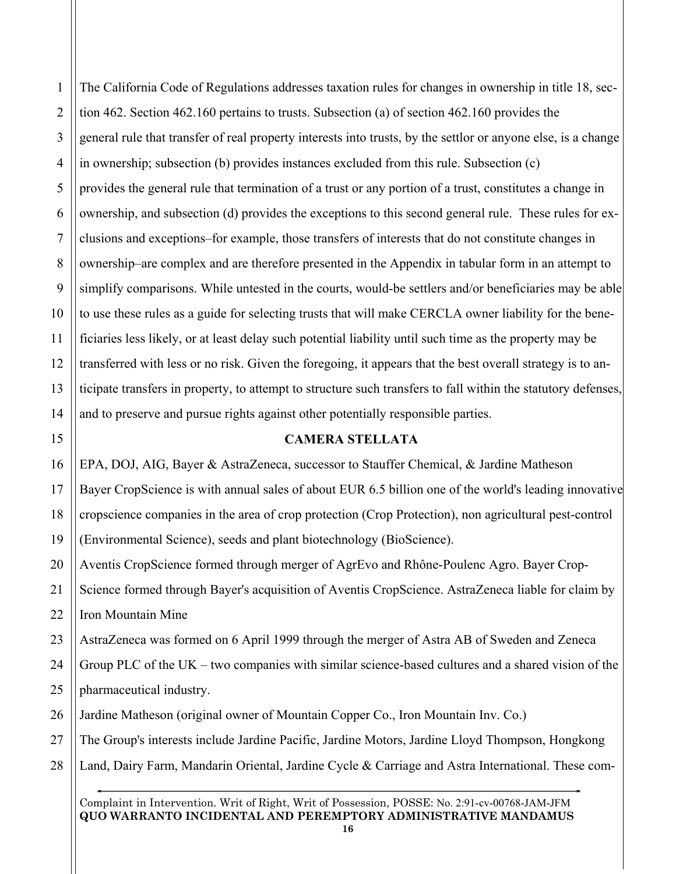1 2 3 The California Code of Regulations addresses taxation rules for changes in ownership in title 18, section 462. Section 462.160 pertains to trusts. Subsection (a) of section 462.160 provides the general rule that transfer of real property interests into trusts, by the settlor or anyone else, is a change in ownership; subsection (b) provides instances excluded from this rule. Subsection (c) provides the general rule that termination of a trust or any portion of a trust, constitutes a change in ownership, and subsection (d) provides the exceptions to this second general rule. These rules for exclusions and exceptions–for example, those transfers of interests that do not constitute changes in ownership–are complex and are therefore presented in the Appendix in tabular form in an attempt to simplify comparisons. While untested in the courts, would-be settlers and/or beneficiaries may be able to use these rules as a guide for selecting trusts that will make CERCLA owner liability for the beneficiaries less likely, or at least delay such potential liability until such time as the property may be transferred with less or no risk. Given the foregoing, it appears that the best overall strategy is to anticipate transfers in property, to attempt to structure such transfers to fall within the statutory defenses, and to preserve and pursue rights against other potentially responsible parties.

#### **CAMERA STELLATA**

EPA, DOJ, AIG, Bayer & AstraZeneca, successor to Stauffer Chemical, & Jardine Matheson Bayer CropScience is with annual sales of about EUR 6.5 billion one of the world's leading innovative cropscience companies in the area of crop protection (Crop Protection), non agricultural pest-control (Environmental Science), seeds and plant biotechnology (BioScience).

Aventis CropScience formed through merger of AgrEvo and Rhône-Poulenc Agro. Bayer Crop-

Science formed through Bayer's acquisition of Aventis CropScience. AstraZeneca liable for claim by Iron Mountain Mine

AstraZeneca was formed on 6 April 1999 through the merger of Astra AB of Sweden and Zeneca

Group PLC of the UK – two companies with similar science-based cultures and a shared vision of the pharmaceutical industry.

Jardine Matheson (original owner of Mountain Copper Co., Iron Mountain Inv. Co.)

The Group's interests include Jardine Pacific, Jardine Motors, Jardine Lloyd Thompson, Hongkong Land, Dairy Farm, Mandarin Oriental, Jardine Cycle & Carriage and Astra International. These com-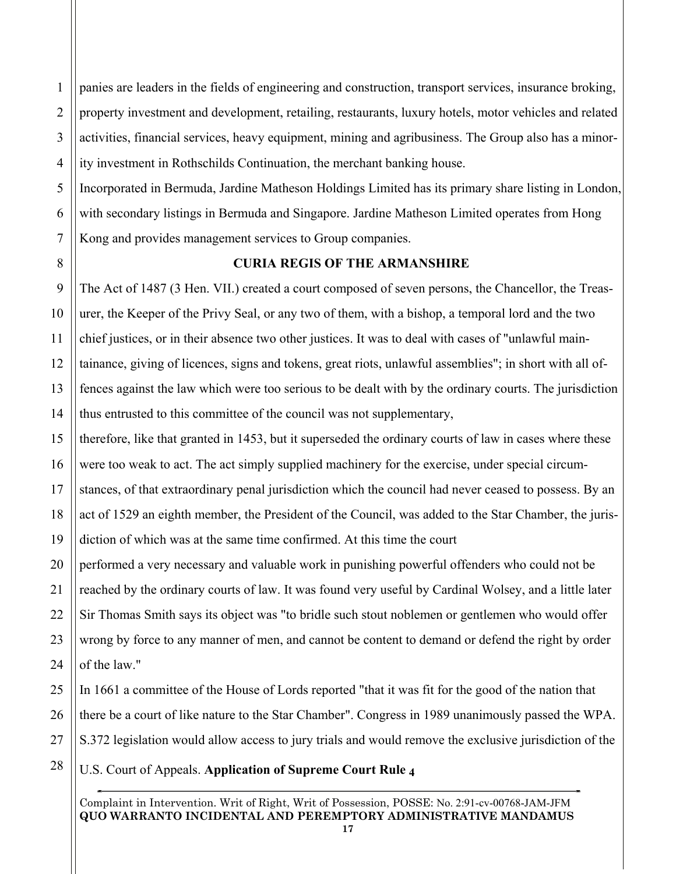1 2 panies are leaders in the fields of engineering and construction, transport services, insurance broking, property investment and development, retailing, restaurants, luxury hotels, motor vehicles and related activities, financial services, heavy equipment, mining and agribusiness. The Group also has a minority investment in Rothschilds Continuation, the merchant banking house.

Incorporated in Bermuda, Jardine Matheson Holdings Limited has its primary share listing in London, with secondary listings in Bermuda and Singapore. Jardine Matheson Limited operates from Hong Kong and provides management services to Group companies.

#### **CURIA REGIS OF THE ARMANSHIRE**

The Act of 1487 (3 Hen. VII.) created a court composed of seven persons, the Chancellor, the Treasurer, the Keeper of the Privy Seal, or any two of them, with a bishop, a temporal lord and the two chief justices, or in their absence two other justices. It was to deal with cases of "unlawful maintainance, giving of licences, signs and tokens, great riots, unlawful assemblies"; in short with all offences against the law which were too serious to be dealt with by the ordinary courts. The jurisdiction thus entrusted to this committee of the council was not supplementary,

therefore, like that granted in 1453, but it superseded the ordinary courts of law in cases where these were too weak to act. The act simply supplied machinery for the exercise, under special circumstances, of that extraordinary penal jurisdiction which the council had never ceased to possess. By an act of 1529 an eighth member, the President of the Council, was added to the Star Chamber, the jurisdiction of which was at the same time confirmed. At this time the court

performed a very necessary and valuable work in punishing powerful offenders who could not be reached by the ordinary courts of law. It was found very useful by Cardinal Wolsey, and a little later Sir Thomas Smith says its object was "to bridle such stout noblemen or gentlemen who would offer wrong by force to any manner of men, and cannot be content to demand or defend the right by order of the law."

In 1661 a committee of the House of Lords reported "that it was fit for the good of the nation that there be a court of like nature to the Star Chamber". Congress in 1989 unanimously passed the WPA. S.372 legislation would allow access to jury trials and would remove the exclusive jurisdiction of the U.S. Court of Appeals. **Application of Supreme Court Rule 4**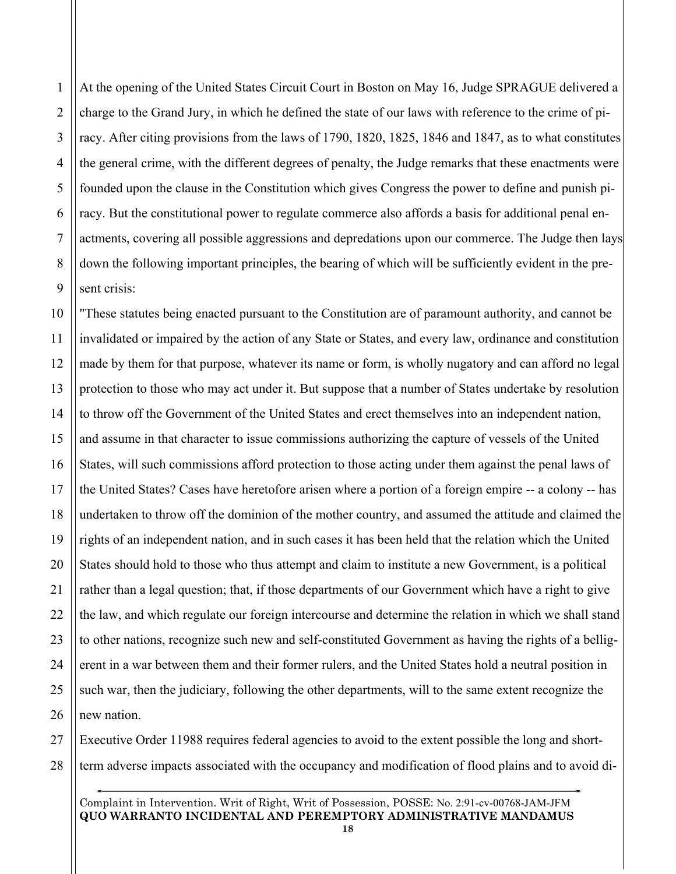4 At the opening of the United States Circuit Court in Boston on May 16, Judge SPRAGUE delivered a charge to the Grand Jury, in which he defined the state of our laws with reference to the crime of piracy. After citing provisions from the laws of 1790, 1820, 1825, 1846 and 1847, as to what constitutes the general crime, with the different degrees of penalty, the Judge remarks that these enactments were founded upon the clause in the Constitution which gives Congress the power to define and punish piracy. But the constitutional power to regulate commerce also affords a basis for additional penal enactments, covering all possible aggressions and depredations upon our commerce. The Judge then lays down the following important principles, the bearing of which will be sufficiently evident in the present crisis:

"These statutes being enacted pursuant to the Constitution are of paramount authority, and cannot be invalidated or impaired by the action of any State or States, and every law, ordinance and constitution made by them for that purpose, whatever its name or form, is wholly nugatory and can afford no legal protection to those who may act under it. But suppose that a number of States undertake by resolution to throw off the Government of the United States and erect themselves into an independent nation, and assume in that character to issue commissions authorizing the capture of vessels of the United States, will such commissions afford protection to those acting under them against the penal laws of the United States? Cases have heretofore arisen where a portion of a foreign empire -- a colony -- has undertaken to throw off the dominion of the mother country, and assumed the attitude and claimed the rights of an independent nation, and in such cases it has been held that the relation which the United States should hold to those who thus attempt and claim to institute a new Government, is a political rather than a legal question; that, if those departments of our Government which have a right to give the law, and which regulate our foreign intercourse and determine the relation in which we shall stand to other nations, recognize such new and self-constituted Government as having the rights of a belligerent in a war between them and their former rulers, and the United States hold a neutral position in such war, then the judiciary, following the other departments, will to the same extent recognize the new nation.

Executive Order 11988 requires federal agencies to avoid to the extent possible the long and shortterm adverse impacts associated with the occupancy and modification of flood plains and to avoid di-

Complaint in Intervention. Writ of Right, Writ of Possession, POSSE: No. 2:91-cv-00768-JAM-JFM **QUO WARRANTO INCIDENTAL AND PEREMPTORY ADMINISTRATIVE MANDAMUS 18**

1

2

3

5

6